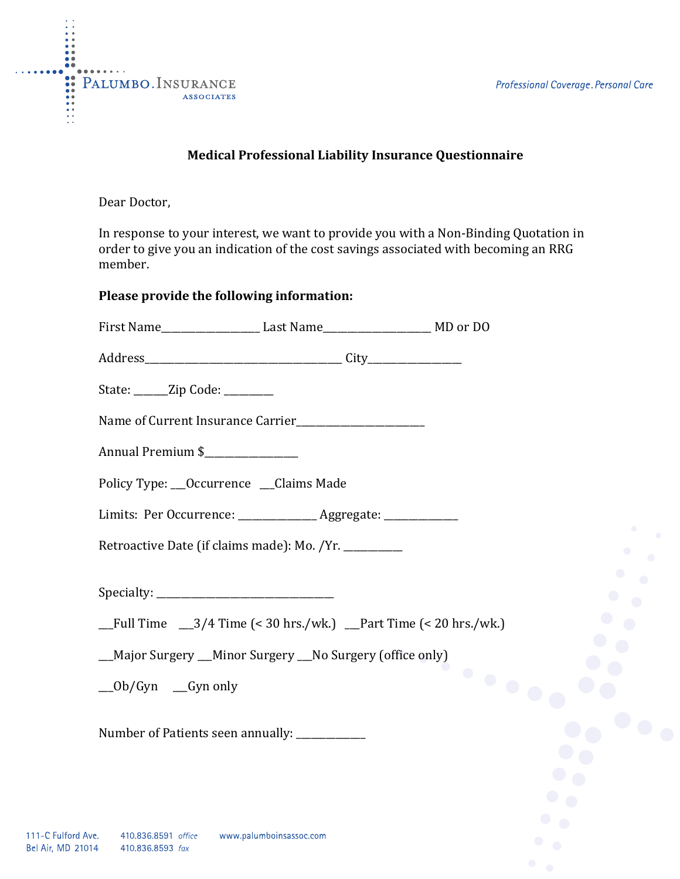

Dear Doctor,

In response to your interest, we want to provide you with a Non-Binding Quotation in order to give you an indication of the cost savings associated with becoming an RRG member.

## **Please provide the following information:**

| State: ______Zip Code: ________                        |                                                                                                  |                                             |
|--------------------------------------------------------|--------------------------------------------------------------------------------------------------|---------------------------------------------|
|                                                        |                                                                                                  |                                             |
| Annual Premium \$                                      |                                                                                                  |                                             |
| Policy Type: __Occurrence __Claims Made                |                                                                                                  |                                             |
|                                                        | Limits: Per Occurrence: ________________ Aggregate: _____________                                |                                             |
| Retroactive Date (if claims made): Mo. /Yr. __________ |                                                                                                  | $\bullet$                                   |
|                                                        |                                                                                                  | $\bullet$                                   |
|                                                        | $_Full Time \_\_3/4 Time \left( < 30 hrs./wk. \right) \_\_PartTime \left( < 20 hrs./wk. \right)$ |                                             |
|                                                        | __Major Surgery __Minor Surgery __No Surgery (office only)                                       |                                             |
| $\angle$ Ob/Gyn $\angle$ Gyn only                      |                                                                                                  | $\ddot{\phantom{a}}$ , $\ddot{\phantom{a}}$ |
| Number of Patients seen annually: ___________          |                                                                                                  |                                             |
|                                                        |                                                                                                  |                                             |
|                                                        |                                                                                                  |                                             |